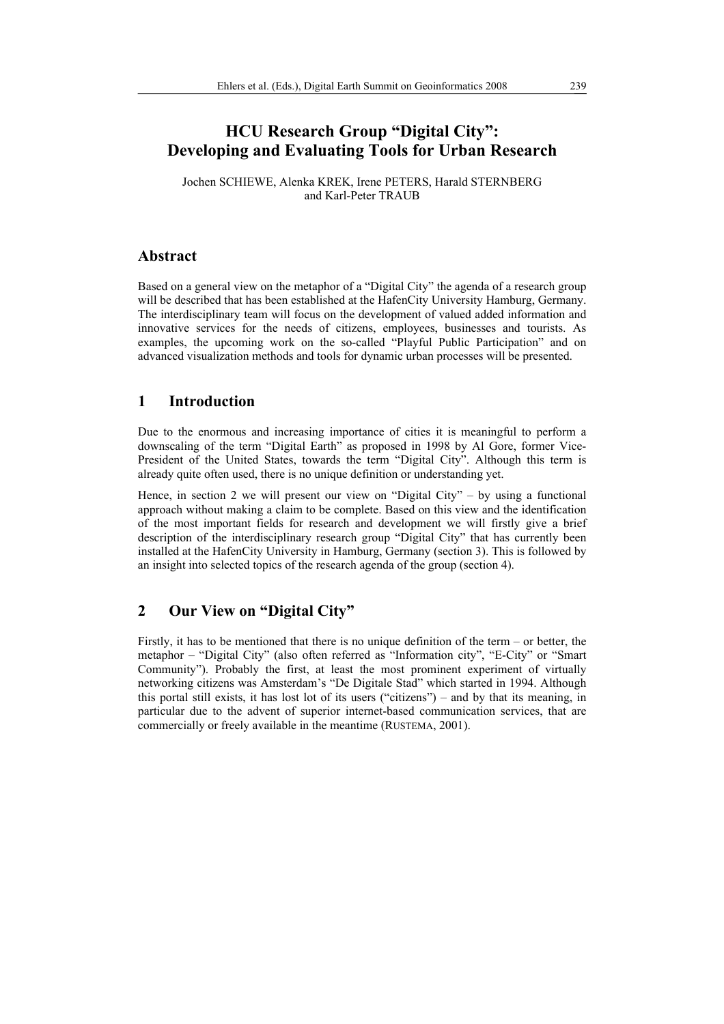# **HCU Research Group "Digital City": Developing and Evaluating Tools for Urban Research**

Jochen SCHIEWE, Alenka KREK, Irene PETERS, Harald STERNBERG and Karl-Peter TRAUB

#### **Abstract**

Based on a general view on the metaphor of a "Digital City" the agenda of a research group will be described that has been established at the HafenCity University Hamburg, Germany. The interdisciplinary team will focus on the development of valued added information and innovative services for the needs of citizens, employees, businesses and tourists. As examples, the upcoming work on the so-called "Playful Public Participation" and on advanced visualization methods and tools for dynamic urban processes will be presented.

## **1 Introduction**

Due to the enormous and increasing importance of cities it is meaningful to perform a downscaling of the term "Digital Earth" as proposed in 1998 by Al Gore, former Vice-President of the United States, towards the term "Digital City". Although this term is already quite often used, there is no unique definition or understanding yet.

Hence, in section 2 we will present our view on "Digital City" – by using a functional approach without making a claim to be complete. Based on this view and the identification of the most important fields for research and development we will firstly give a brief description of the interdisciplinary research group "Digital City" that has currently been installed at the HafenCity University in Hamburg, Germany (section 3). This is followed by an insight into selected topics of the research agenda of the group (section 4).

## **2 Our View on "Digital City"**

Firstly, it has to be mentioned that there is no unique definition of the term – or better, the metaphor – "Digital City" (also often referred as "Information city", "E-City" or "Smart Community"). Probably the first, at least the most prominent experiment of virtually networking citizens was Amsterdam's "De Digitale Stad" which started in 1994. Although this portal still exists, it has lost lot of its users ("citizens") – and by that its meaning, in particular due to the advent of superior internet-based communication services, that are commercially or freely available in the meantime (RUSTEMA, 2001).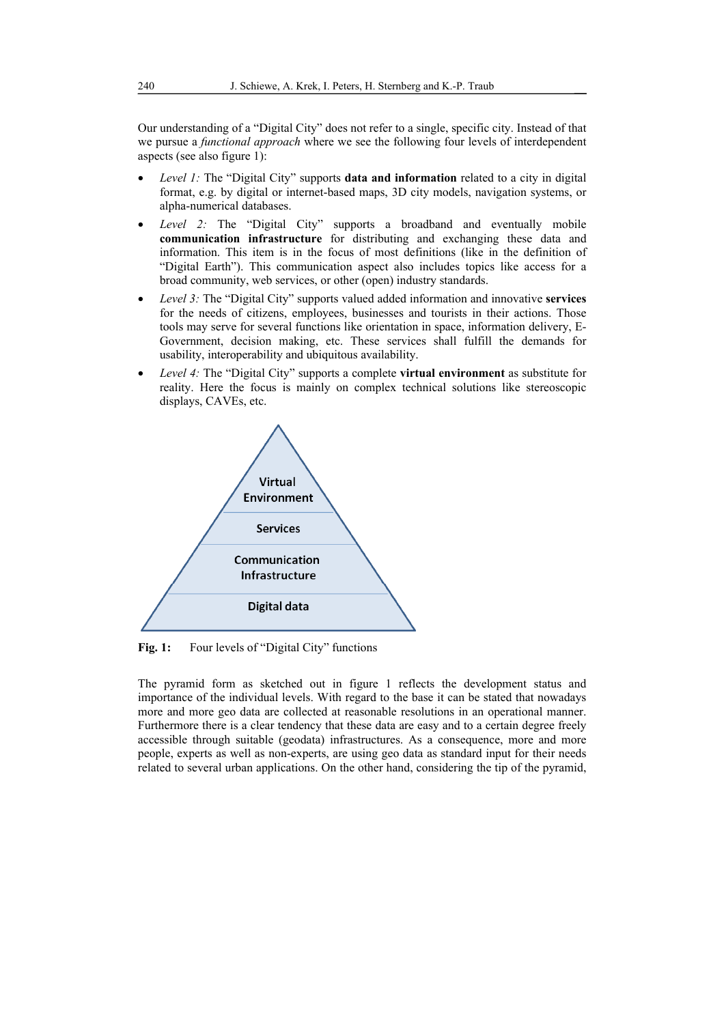Our understanding of a "Digital City" does not refer to a single, specific city. Instead of that we pursue a *functional approach* where we see the following four levels of interdependent aspects (see also figure 1):

- *Level 1:* The "Digital City" supports **data and information** related to a city in digital format, e.g. by digital or internet-based maps, 3D city models, navigation systems, or alpha-numerical databases.
- *Level 2:* The "Digital City" supports a broadband and eventually mobile **communication infrastructure** for distributing and exchanging these data and information. This item is in the focus of most definitions (like in the definition of "Digital Earth"). This communication aspect also includes topics like access for a broad community, web services, or other (open) industry standards.
- *Level 3:* The "Digital City" supports valued added information and innovative **services** for the needs of citizens, employees, businesses and tourists in their actions. Those tools may serve for several functions like orientation in space, information delivery, E-Government, decision making, etc. These services shall fulfill the demands for usability, interoperability and ubiquitous availability.
- *Level 4:* The "Digital City" supports a complete **virtual environment** as substitute for reality. Here the focus is mainly on complex technical solutions like stereoscopic displays, CAVEs, etc.



Fig. 1: Four levels of "Digital City" functions

The pyramid form as sketched out in figure 1 reflects the development status and importance of the individual levels. With regard to the base it can be stated that nowadays more and more geo data are collected at reasonable resolutions in an operational manner. Furthermore there is a clear tendency that these data are easy and to a certain degree freely accessible through suitable (geodata) infrastructures. As a consequence, more and more people, experts as well as non-experts, are using geo data as standard input for their needs related to several urban applications. On the other hand, considering the tip of the pyramid,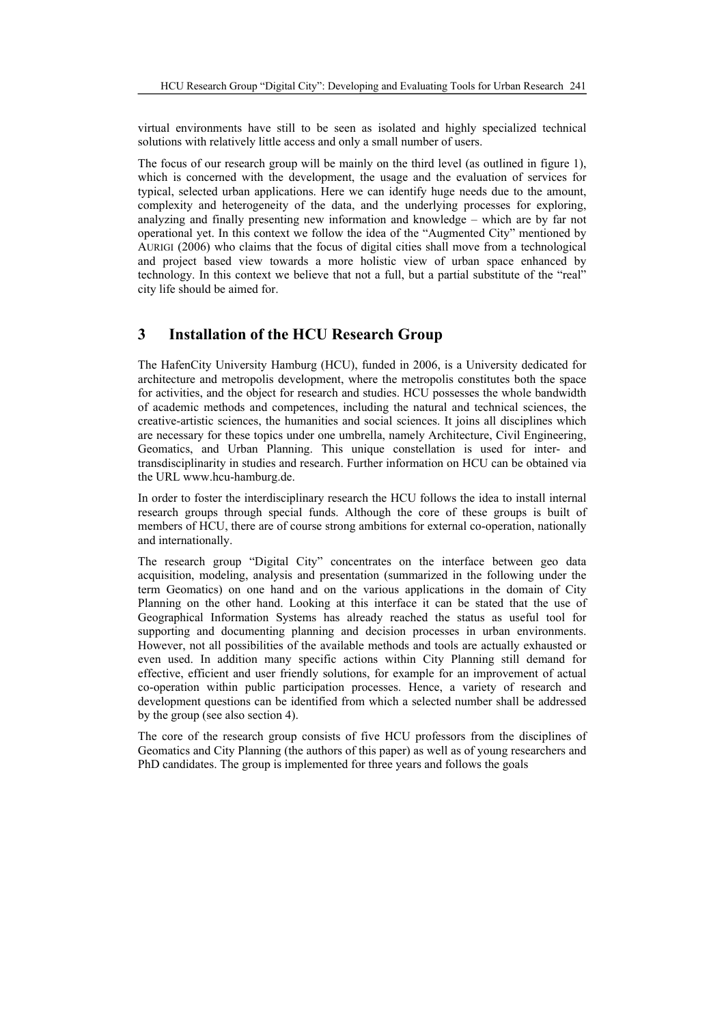virtual environments have still to be seen as isolated and highly specialized technical solutions with relatively little access and only a small number of users.

The focus of our research group will be mainly on the third level (as outlined in figure 1), which is concerned with the development, the usage and the evaluation of services for typical, selected urban applications. Here we can identify huge needs due to the amount, complexity and heterogeneity of the data, and the underlying processes for exploring, analyzing and finally presenting new information and knowledge – which are by far not operational yet. In this context we follow the idea of the "Augmented City" mentioned by AURIGI (2006) who claims that the focus of digital cities shall move from a technological and project based view towards a more holistic view of urban space enhanced by technology. In this context we believe that not a full, but a partial substitute of the "real" city life should be aimed for.

## **3 Installation of the HCU Research Group**

The HafenCity University Hamburg (HCU), funded in 2006, is a University dedicated for architecture and metropolis development, where the metropolis constitutes both the space for activities, and the object for research and studies. HCU possesses the whole bandwidth of academic methods and competences, including the natural and technical sciences, the creative-artistic sciences, the humanities and social sciences. It joins all disciplines which are necessary for these topics under one umbrella, namely Architecture, Civil Engineering, Geomatics, and Urban Planning. This unique constellation is used for inter- and transdisciplinarity in studies and research. Further information on HCU can be obtained via the URL www.hcu-hamburg.de.

In order to foster the interdisciplinary research the HCU follows the idea to install internal research groups through special funds. Although the core of these groups is built of members of HCU, there are of course strong ambitions for external co-operation, nationally and internationally.

The research group "Digital City" concentrates on the interface between geo data acquisition, modeling, analysis and presentation (summarized in the following under the term Geomatics) on one hand and on the various applications in the domain of City Planning on the other hand. Looking at this interface it can be stated that the use of Geographical Information Systems has already reached the status as useful tool for supporting and documenting planning and decision processes in urban environments. However, not all possibilities of the available methods and tools are actually exhausted or even used. In addition many specific actions within City Planning still demand for effective, efficient and user friendly solutions, for example for an improvement of actual co-operation within public participation processes. Hence, a variety of research and development questions can be identified from which a selected number shall be addressed by the group (see also section 4).

The core of the research group consists of five HCU professors from the disciplines of Geomatics and City Planning (the authors of this paper) as well as of young researchers and PhD candidates. The group is implemented for three years and follows the goals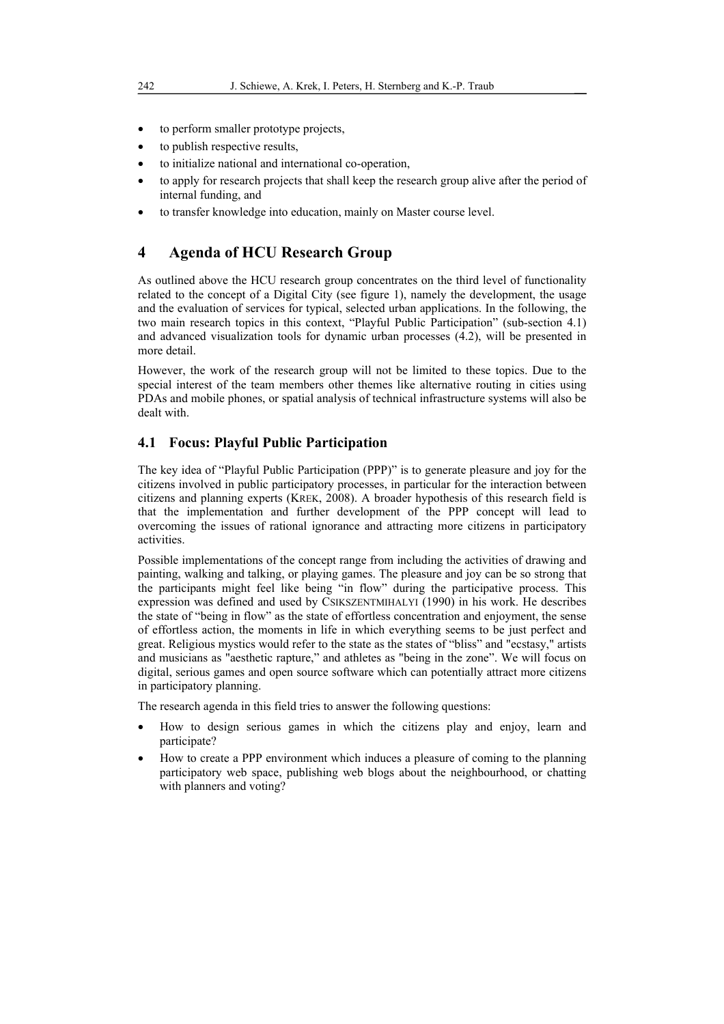- to perform smaller prototype projects,
- to publish respective results,
- to initialize national and international co-operation,
- to apply for research projects that shall keep the research group alive after the period of internal funding, and
- to transfer knowledge into education, mainly on Master course level.

## **4 Agenda of HCU Research Group**

As outlined above the HCU research group concentrates on the third level of functionality related to the concept of a Digital City (see figure 1), namely the development, the usage and the evaluation of services for typical, selected urban applications. In the following, the two main research topics in this context, "Playful Public Participation" (sub-section 4.1) and advanced visualization tools for dynamic urban processes (4.2), will be presented in more detail.

However, the work of the research group will not be limited to these topics. Due to the special interest of the team members other themes like alternative routing in cities using PDAs and mobile phones, or spatial analysis of technical infrastructure systems will also be dealt with.

#### **4.1 Focus: Playful Public Participation**

The key idea of "Playful Public Participation (PPP)" is to generate pleasure and joy for the citizens involved in public participatory processes, in particular for the interaction between citizens and planning experts (KREK, 2008). A broader hypothesis of this research field is that the implementation and further development of the PPP concept will lead to overcoming the issues of rational ignorance and attracting more citizens in participatory activities.

Possible implementations of the concept range from including the activities of drawing and painting, walking and talking, or playing games. The pleasure and joy can be so strong that the participants might feel like being "in flow" during the participative process. This expression was defined and used by CSIKSZENTMIHALYI (1990) in his work. He describes the state of "being in flow" as the state of effortless concentration and enjoyment, the sense of effortless action, the moments in life in which everything seems to be just perfect and great. Religious mystics would refer to the state as the states of "bliss" and "ecstasy," artists and musicians as "aesthetic rapture," and athletes as "being in the zone". We will focus on digital, serious games and open source software which can potentially attract more citizens in participatory planning.

The research agenda in this field tries to answer the following questions:

- How to design serious games in which the citizens play and enjoy, learn and participate?
- How to create a PPP environment which induces a pleasure of coming to the planning participatory web space, publishing web blogs about the neighbourhood, or chatting with planners and voting?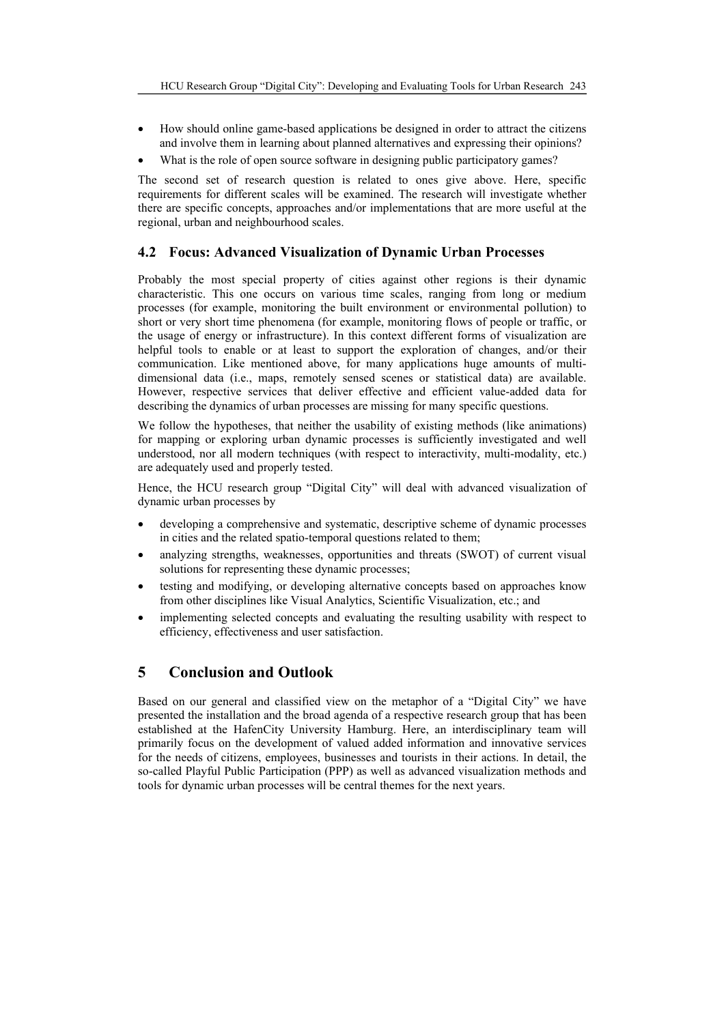- How should online game-based applications be designed in order to attract the citizens and involve them in learning about planned alternatives and expressing their opinions?
- What is the role of open source software in designing public participatory games?

The second set of research question is related to ones give above. Here, specific requirements for different scales will be examined. The research will investigate whether there are specific concepts, approaches and/or implementations that are more useful at the regional, urban and neighbourhood scales.

## **4.2 Focus: Advanced Visualization of Dynamic Urban Processes**

Probably the most special property of cities against other regions is their dynamic characteristic. This one occurs on various time scales, ranging from long or medium processes (for example, monitoring the built environment or environmental pollution) to short or very short time phenomena (for example, monitoring flows of people or traffic, or the usage of energy or infrastructure). In this context different forms of visualization are helpful tools to enable or at least to support the exploration of changes, and/or their communication. Like mentioned above, for many applications huge amounts of multidimensional data (i.e., maps, remotely sensed scenes or statistical data) are available. However, respective services that deliver effective and efficient value-added data for describing the dynamics of urban processes are missing for many specific questions.

We follow the hypotheses, that neither the usability of existing methods (like animations) for mapping or exploring urban dynamic processes is sufficiently investigated and well understood, nor all modern techniques (with respect to interactivity, multi-modality, etc.) are adequately used and properly tested.

Hence, the HCU research group "Digital City" will deal with advanced visualization of dynamic urban processes by

- developing a comprehensive and systematic, descriptive scheme of dynamic processes in cities and the related spatio-temporal questions related to them;
- analyzing strengths, weaknesses, opportunities and threats (SWOT) of current visual solutions for representing these dynamic processes;
- testing and modifying, or developing alternative concepts based on approaches know from other disciplines like Visual Analytics, Scientific Visualization, etc.; and
- implementing selected concepts and evaluating the resulting usability with respect to efficiency, effectiveness and user satisfaction.

# **5 Conclusion and Outlook**

Based on our general and classified view on the metaphor of a "Digital City" we have presented the installation and the broad agenda of a respective research group that has been established at the HafenCity University Hamburg. Here, an interdisciplinary team will primarily focus on the development of valued added information and innovative services for the needs of citizens, employees, businesses and tourists in their actions. In detail, the so-called Playful Public Participation (PPP) as well as advanced visualization methods and tools for dynamic urban processes will be central themes for the next years.